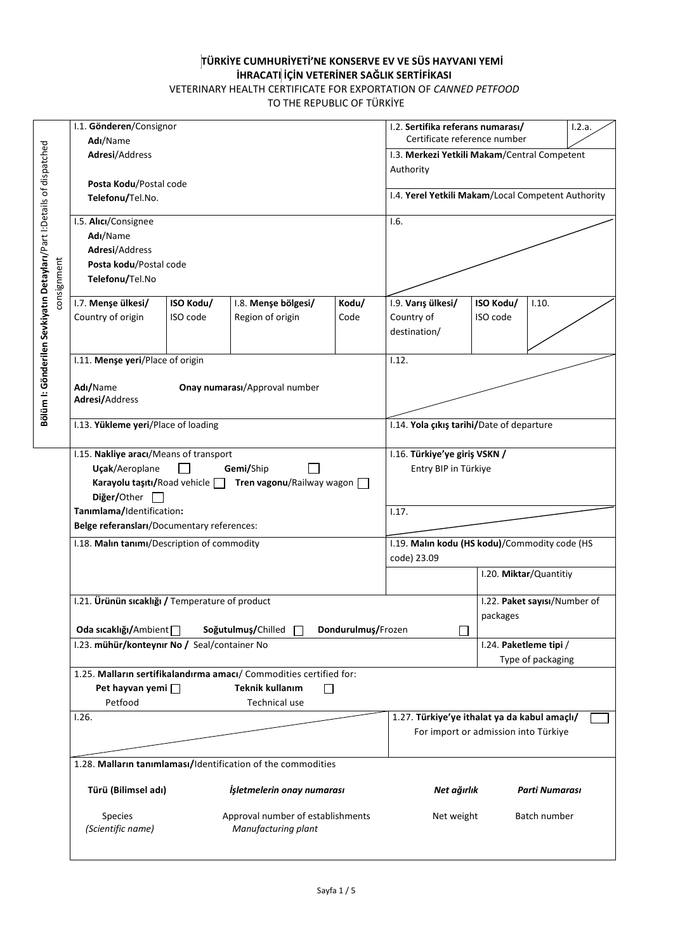## **TÜRKİYE CUMHURİYETİ'NE KONSERVE EV VE SÜS HAYVANI YEMİ İHRACATI İÇİN VETERİNER SAĞLIK SERTİFİKASI** VETERINARY HEALTH CERTIFICATE FOR EXPORTATION OF *CANNED PETFOOD*

TO THE REPUBLIC OF TÜRKİYE

|                                                                       | Species<br>(Scientific name)                                                                                                |           | Approval number of establishments<br>Manufacturing plant |       | Net weight                                                |                        | Batch number                 |  |
|-----------------------------------------------------------------------|-----------------------------------------------------------------------------------------------------------------------------|-----------|----------------------------------------------------------|-------|-----------------------------------------------------------|------------------------|------------------------------|--|
|                                                                       | Türü (Bilimsel adı)                                                                                                         |           | İşletmelerin onay numarası                               |       | Net ağırlık                                               |                        | Parti Numarası               |  |
|                                                                       | 1.28. Malların tanımlaması/Identification of the commodities                                                                |           |                                                          |       |                                                           |                        |                              |  |
|                                                                       |                                                                                                                             |           |                                                          |       | For import or admission into Türkiye                      |                        |                              |  |
|                                                                       | 1.26.                                                                                                                       |           |                                                          |       | 1.27. Türkiye'ye ithalat ya da kabul amaçlı/              |                        |                              |  |
|                                                                       | Petfood                                                                                                                     |           | <b>Technical use</b>                                     |       |                                                           |                        |                              |  |
|                                                                       | 1.25. Malların sertifikalandırma amacı/ Commodities certified for:<br>Pet hayvan yemi $\Box$<br><b>Teknik kullanım</b><br>П |           |                                                          |       |                                                           |                        |                              |  |
|                                                                       |                                                                                                                             |           |                                                          |       |                                                           |                        | Type of packaging            |  |
|                                                                       | I.23. mühür/konteynır No / Seal/container No                                                                                |           |                                                          |       |                                                           | I.24. Paketleme tipi / |                              |  |
|                                                                       | Oda sıcaklığı/Ambient<br>Soğutulmuş/Chilled<br>Dondurulmuş/Frozen                                                           |           |                                                          |       |                                                           | packages               |                              |  |
|                                                                       | I.21. Ürünün sıcaklığı / Temperature of product                                                                             |           |                                                          |       |                                                           |                        | I.22. Paket sayısı/Number of |  |
|                                                                       |                                                                                                                             |           |                                                          |       | code) 23.09                                               |                        | I.20. Miktar/Quantitiy       |  |
|                                                                       | I.18. Malın tanımı/Description of commodity                                                                                 |           |                                                          |       | I.19. Malın kodu (HS kodu)/Commodity code (HS             |                        |                              |  |
|                                                                       | Belge referansları/Documentary references:                                                                                  |           |                                                          |       |                                                           |                        |                              |  |
|                                                                       | Diğer/Other<br>Tanımlama/Identification:                                                                                    |           |                                                          |       | 1.17.                                                     |                        |                              |  |
|                                                                       | Karayolu taşıtı/Road vehicle                                                                                                |           | Tren vagonu/Railway wagon                                |       |                                                           |                        |                              |  |
|                                                                       | Uçak/Aeroplane                                                                                                              |           | Gemi/Ship                                                |       | Entry BIP in Türkiye                                      |                        |                              |  |
|                                                                       | I.15. Nakliye aracı/Means of transport                                                                                      |           |                                                          |       | 1.16. Türkiye'ye giriş VSKN /                             |                        |                              |  |
|                                                                       | I.13. Yükleme yeri/Place of loading                                                                                         |           |                                                          |       | I.14. Yola çıkış tarihi/Date of departure                 |                        |                              |  |
|                                                                       | Adresi/Address                                                                                                              |           |                                                          |       |                                                           |                        |                              |  |
|                                                                       | Adı/Name                                                                                                                    |           | Onay numarası/Approval number                            |       |                                                           |                        |                              |  |
|                                                                       | I.11. Menşe yeri/Place of origin                                                                                            |           |                                                          |       | 1.12.                                                     |                        |                              |  |
|                                                                       |                                                                                                                             |           |                                                          |       | destination/                                              |                        |                              |  |
|                                                                       | Country of origin                                                                                                           | ISO code  | Region of origin                                         | Code  | Country of                                                | ISO code               |                              |  |
|                                                                       | 1.7. Menşe ülkesi/                                                                                                          | ISO Kodu/ | 1.8. Menşe bölgesi/                                      | Kodu/ | I.9. Varış ülkesi/                                        | ISO Kodu/              | 1.10.                        |  |
| consignment                                                           | Telefonu/Tel.No                                                                                                             |           |                                                          |       |                                                           |                        |                              |  |
|                                                                       | Posta kodu/Postal code                                                                                                      |           |                                                          |       |                                                           |                        |                              |  |
|                                                                       | Adı/Name<br>Adresi/Address                                                                                                  |           |                                                          |       |                                                           |                        |                              |  |
|                                                                       | I.5. Alici/Consignee                                                                                                        |           |                                                          |       | 1.6.                                                      |                        |                              |  |
|                                                                       | Telefonu/Tel.No.                                                                                                            |           |                                                          |       | I.4. Yerel Yetkili Makam/Local Competent Authority        |                        |                              |  |
| Bölüm I: Gönderilen Sevkiyatın Detayları/Part I:Details of dispatched | Posta Kodu/Postal code                                                                                                      |           |                                                          |       |                                                           |                        |                              |  |
|                                                                       | Adresi/Address                                                                                                              |           |                                                          |       | I.3. Merkezi Yetkili Makam/Central Competent<br>Authority |                        |                              |  |
|                                                                       | Adı/Name                                                                                                                    |           |                                                          |       | Certificate reference number                              |                        |                              |  |
|                                                                       | I.1. Gönderen/Consignor                                                                                                     |           |                                                          |       | I.2. Sertifika referans numarası/                         |                        | 1.2.a.                       |  |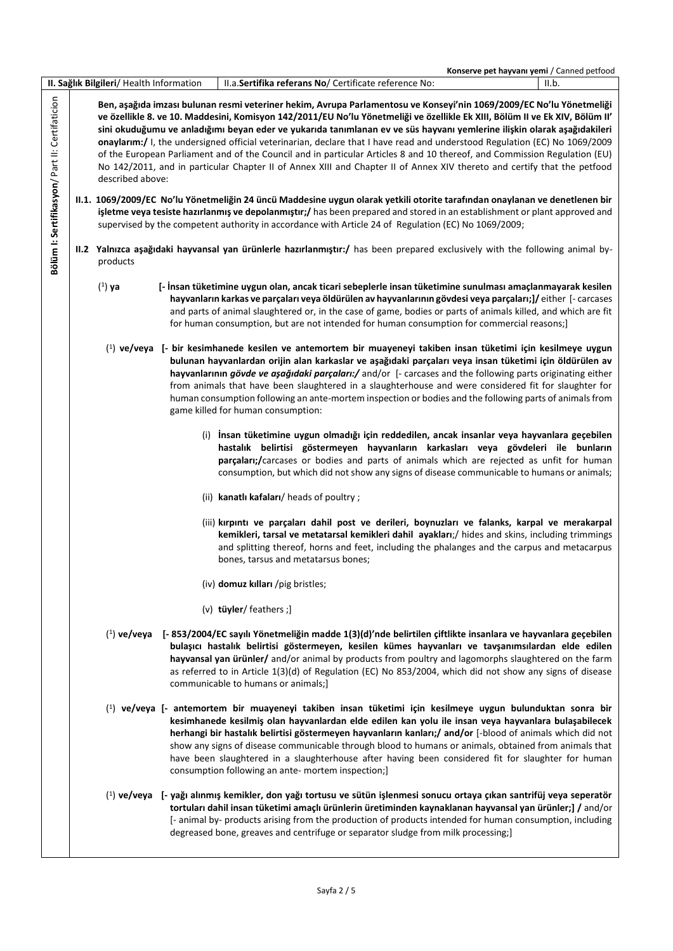|                                                |                                          | Konserve pet hayvanı yemi / Canned petfood                                                                                                                                                                                                                                                                                                                                                                                                                                                                                                                                                                                                                                                                                                                                                                                                                                                                                                                                                                                                                                                                                                  |
|------------------------------------------------|------------------------------------------|---------------------------------------------------------------------------------------------------------------------------------------------------------------------------------------------------------------------------------------------------------------------------------------------------------------------------------------------------------------------------------------------------------------------------------------------------------------------------------------------------------------------------------------------------------------------------------------------------------------------------------------------------------------------------------------------------------------------------------------------------------------------------------------------------------------------------------------------------------------------------------------------------------------------------------------------------------------------------------------------------------------------------------------------------------------------------------------------------------------------------------------------|
|                                                | II. Sağlık Bilgileri/ Health Information | II.a.Sertifika referans No/ Certificate reference No:<br>II.b.                                                                                                                                                                                                                                                                                                                                                                                                                                                                                                                                                                                                                                                                                                                                                                                                                                                                                                                                                                                                                                                                              |
| Bölüm I: Sertifikasyon/ Part II: Certifaticion | described above:                         | Ben, aşağıda imzası bulunan resmi veteriner hekim, Avrupa Parlamentosu ve Konseyi'nin 1069/2009/EC No'lu Yönetmeliği<br>ve özellikle 8. ve 10. Maddesini, Komisyon 142/2011/EU No'lu Yönetmeliği ve özellikle Ek XIII, Bölüm II ve Ek XIV, Bölüm II'<br>sini okuduğumu ve anladığımı beyan eder ve yukarıda tanımlanan ev ve süs hayvanı yemlerine ilişkin olarak aşağıdakileri<br>onaylarım:/ I, the undersigned official veterinarian, declare that I have read and understood Regulation (EC) No 1069/2009<br>of the European Parliament and of the Council and in particular Articles 8 and 10 thereof, and Commission Regulation (EU)<br>No 142/2011, and in particular Chapter II of Annex XIII and Chapter II of Annex XIV thereto and certify that the petfood<br>II.1. 1069/2009/EC No'lu Yönetmeliğin 24 üncü Maddesine uygun olarak yetkili otorite tarafından onaylanan ve denetlenen bir<br>isletme veya tesiste hazırlanmış ve depolanmıştır;/ has been prepared and stored in an establishment or plant approved and<br>supervised by the competent authority in accordance with Article 24 of Regulation (EC) No 1069/2009; |
|                                                | products                                 | II.2 Yalnızca aşağıdaki hayvansal yan ürünlerle hazırlanmıştır:/ has been prepared exclusively with the following animal by-                                                                                                                                                                                                                                                                                                                                                                                                                                                                                                                                                                                                                                                                                                                                                                                                                                                                                                                                                                                                                |
|                                                | $(1)$ ya                                 | [- İnsan tüketimine uygun olan, ancak ticari sebeplerle insan tüketimine sunulması amaçlanmayarak kesilen<br>hayvanların karkas ve parçaları veya öldürülen av hayvanlarının gövdesi veya parçaları;]/ either [- carcases<br>and parts of animal slaughtered or, in the case of game, bodies or parts of animals killed, and which are fit<br>for human consumption, but are not intended for human consumption for commercial reasons;]                                                                                                                                                                                                                                                                                                                                                                                                                                                                                                                                                                                                                                                                                                    |
|                                                |                                          | $(1)$ ve/veya [- bir kesimhanede kesilen ve antemortem bir muayeneyi takiben insan tüketimi için kesilmeye uygun<br>bulunan hayvanlardan orijin alan karkaslar ve aşağıdaki parçaları veya insan tüketimi için öldürülen av<br>hayvanlarının gövde ve aşağıdaki parçaları:/ and/or [- carcases and the following parts originating either<br>from animals that have been slaughtered in a slaughterhouse and were considered fit for slaughter for<br>human consumption following an ante-mortem inspection or bodies and the following parts of animals from<br>game killed for human consumption:                                                                                                                                                                                                                                                                                                                                                                                                                                                                                                                                         |
|                                                |                                          | (i) Insan tüketimine uygun olmadığı için reddedilen, ancak insanlar veya hayvanlara geçebilen<br>hastalık belirtisi göstermeyen hayvanların karkasları veya gövdeleri ile bunların<br>parçaları;/carcases or bodies and parts of animals which are rejected as unfit for human<br>consumption, but which did not show any signs of disease communicable to humans or animals;                                                                                                                                                                                                                                                                                                                                                                                                                                                                                                                                                                                                                                                                                                                                                               |
|                                                |                                          | (ii) kanatlı kafaları/ heads of poultry;                                                                                                                                                                                                                                                                                                                                                                                                                                                                                                                                                                                                                                                                                                                                                                                                                                                                                                                                                                                                                                                                                                    |
|                                                |                                          | (iii) kırpıntı ve parçaları dahil post ve derileri, boynuzları ve falanks, karpal ve merakarpal<br>kemikleri, tarsal ve metatarsal kemikleri dahil ayakları;/ hides and skins, including trimmings<br>and splitting thereof, horns and feet, including the phalanges and the carpus and metacarpus<br>bones, tarsus and metatarsus bones;                                                                                                                                                                                                                                                                                                                                                                                                                                                                                                                                                                                                                                                                                                                                                                                                   |
|                                                |                                          | (iv) domuz kılları /pig bristles;                                                                                                                                                                                                                                                                                                                                                                                                                                                                                                                                                                                                                                                                                                                                                                                                                                                                                                                                                                                                                                                                                                           |
|                                                |                                          | (v) tüyler/ feathers ;]                                                                                                                                                                                                                                                                                                                                                                                                                                                                                                                                                                                                                                                                                                                                                                                                                                                                                                                                                                                                                                                                                                                     |
|                                                |                                          | ( <sup>1</sup> ) ve/veya [- 853/2004/EC sayılı Yönetmeliğin madde 1(3)(d)'nde belirtilen çiftlikte insanlara ve hayvanlara geçebilen<br>bulaşıcı hastalık belirtisi göstermeyen, kesilen kümes hayvanları ve tavşanımsılardan elde edilen<br>hayvansal yan ürünler/ and/or animal by products from poultry and lagomorphs slaughtered on the farm<br>as referred to in Article 1(3)(d) of Regulation (EC) No 853/2004, which did not show any signs of disease<br>communicable to humans or animals;]                                                                                                                                                                                                                                                                                                                                                                                                                                                                                                                                                                                                                                       |
|                                                |                                          | <sup>(1</sup> ) ve/veya [- antemortem bir muayeneyi takiben insan tüketimi için kesilmeye uygun bulunduktan sonra bir<br>kesimhanede kesilmiş olan hayvanlardan elde edilen kan yolu ile insan veya hayvanlara bulaşabilecek<br>herhangi bir hastalık belirtisi göstermeyen hayvanların kanları;/ and/or [-blood of animals which did not<br>show any signs of disease communicable through blood to humans or animals, obtained from animals that<br>have been slaughtered in a slaughterhouse after having been considered fit for slaughter for human<br>consumption following an ante- mortem inspection;]                                                                                                                                                                                                                                                                                                                                                                                                                                                                                                                              |
|                                                |                                          | ( <sup>1</sup> ) ve/veya [- yağı alınmış kemikler, don yağı tortusu ve sütün işlenmesi sonucu ortaya çıkan santrifüj veya seperatör<br>tortuları dahil insan tüketimi amaçlı ürünlerin üretiminden kaynaklanan hayvansal yan ürünler;] / and/or<br>[- animal by- products arising from the production of products intended for human consumption, including<br>degreased bone, greaves and centrifuge or separator sludge from milk processing;]                                                                                                                                                                                                                                                                                                                                                                                                                                                                                                                                                                                                                                                                                            |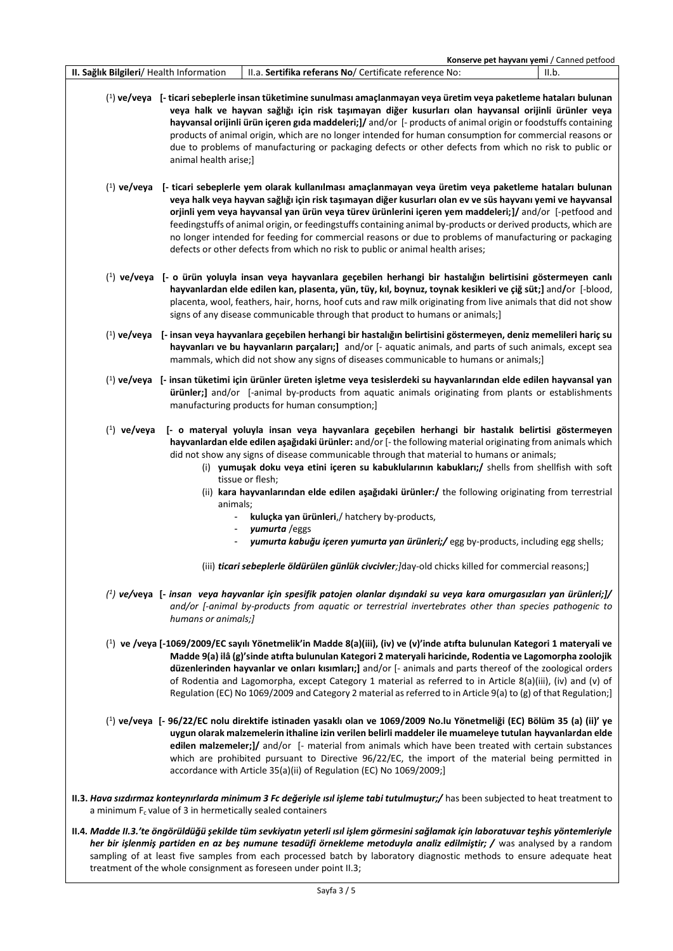|                                          | Konserve pet hayvanı yemi / Canned petfood                                                                                                                                                                                                                                                                                                                                                                                                                                                                                                                                                                                                             |
|------------------------------------------|--------------------------------------------------------------------------------------------------------------------------------------------------------------------------------------------------------------------------------------------------------------------------------------------------------------------------------------------------------------------------------------------------------------------------------------------------------------------------------------------------------------------------------------------------------------------------------------------------------------------------------------------------------|
| II. Sağlık Bilgileri/ Health Information | II.a. Sertifika referans No/ Certificate reference No:<br>II.b.                                                                                                                                                                                                                                                                                                                                                                                                                                                                                                                                                                                        |
|                                          | (1) ve/veya [- ticari sebeplerle insan tüketimine sunulması amaçlanmayan veya üretim veya paketleme hataları bulunan<br>veya halk ve hayvan sağlığı için risk taşımayan diğer kusurları olan hayvansal orijinli ürünler veya<br>hayvansal orijinli ürün içeren gıda maddeleri;]/ and/or [- products of animal origin or foodstuffs containing<br>products of animal origin, which are no longer intended for human consumption for commercial reasons or<br>due to problems of manufacturing or packaging defects or other defects from which no risk to public or<br>animal health arise;]                                                            |
|                                          | (1) ve/veya [- ticari sebeplerle yem olarak kullanılması amaçlanmayan veya üretim veya paketleme hataları bulunan<br>veya halk veya hayvan sağlığı için risk taşımayan diğer kusurları olan ev ve süs hayvanı yemi ve hayvansal<br>orjinli yem veya hayvansal yan ürün veya türev ürünlerini içeren yem maddeleri;]/ and/or [-petfood and<br>feedingstuffs of animal origin, or feedingstuffs containing animal by-products or derived products, which are<br>no longer intended for feeding for commercial reasons or due to problems of manufacturing or packaging<br>defects or other defects from which no risk to public or animal health arises; |
|                                          | ( <sup>1</sup> ) ve/veya [- o ürün yoluyla insan veya hayvanlara geçebilen herhangi bir hastalığın belirtisini göstermeyen canlı<br>hayvanlardan elde edilen kan, plasenta, yün, tüy, kıl, boynuz, toynak kesikleri ve çiğ süt;] and/or [-blood,<br>placenta, wool, feathers, hair, horns, hoof cuts and raw milk originating from live animals that did not show<br>signs of any disease communicable through that product to humans or animals;]                                                                                                                                                                                                     |
|                                          | ( <sup>1</sup> ) ve/veya [- insan veya hayvanlara geçebilen herhangi bir hastalığın belirtisini göstermeyen, deniz memelileri hariç su<br>hayvanları ve bu hayvanların parçaları;] and/or [- aquatic animals, and parts of such animals, except sea<br>mammals, which did not show any signs of diseases communicable to humans or animals;]                                                                                                                                                                                                                                                                                                           |
|                                          | $(1)$ ve/veya [- insan tüketimi için ürünler üreten işletme veya tesislerdeki su hayvanlarından elde edilen hayvansal yan<br>ürünler;] and/or [-animal by-products from aquatic animals originating from plants or establishments<br>manufacturing products for human consumption;]                                                                                                                                                                                                                                                                                                                                                                    |
| $(1)$ ve/veya                            | [- o materyal yoluyla insan veya hayvanlara geçebilen herhangi bir hastalık belirtisi göstermeyen<br>hayvanlardan elde edilen aşağıdaki ürünler: and/or [-the following material originating from animals which<br>did not show any signs of disease communicable through that material to humans or animals;<br>(i) yumuşak doku veya etini içeren su kabuklularının kabukları;/ shells from shellfish with soft<br>tissue or flesh;<br>(ii) kara hayvanlarından elde edilen aşağıdaki ürünler:/ the following originating from terrestrial<br>animals;<br>kuluçka yan ürünleri,/ hatchery by-products,                                               |
|                                          | yumurta / eggs                                                                                                                                                                                                                                                                                                                                                                                                                                                                                                                                                                                                                                         |
|                                          | yumurta kabuğu içeren yumurta yan ürünleri;/ egg by-products, including egg shells;                                                                                                                                                                                                                                                                                                                                                                                                                                                                                                                                                                    |
|                                          | (iii) ticari sebeplerle öldürülen günlük civcivler; ]day-old chicks killed for commercial reasons;]                                                                                                                                                                                                                                                                                                                                                                                                                                                                                                                                                    |
|                                          | $\binom{1}{2}$ ve/veya [- insan veya hayvanlar için spesifik patojen olanlar dışındaki su veya kara omurgasızları yan ürünleri;]/<br>and/or [-animal by-products from aquatic or terrestrial invertebrates other than species pathogenic to<br>humans or animals;]                                                                                                                                                                                                                                                                                                                                                                                     |
|                                          | <sup>(1</sup> ) ve /veya [-1069/2009/EC sayılı Yönetmelik'in Madde 8(a)(iii), (iv) ve (v)'inde atıfta bulunulan Kategori 1 materyali ve<br>Madde 9(a) ilâ (g)'sinde atıfta bulunulan Kategori 2 materyali haricinde, Rodentia ve Lagomorpha zoolojik<br>düzenlerinden hayvanlar ve onları kısımları;] and/or [- animals and parts thereof of the zoological orders<br>of Rodentia and Lagomorpha, except Category 1 material as referred to in Article 8(a)(iii), (iv) and (v) of<br>Regulation (EC) No 1069/2009 and Category 2 material as referred to in Article 9(a) to (g) of that Regulation;]                                                   |
|                                          | (1) ve/veya [- 96/22/EC nolu direktife istinaden yasaklı olan ve 1069/2009 No.lu Yönetmeliği (EC) Bölüm 35 (a) (ii)' ye<br>uygun olarak malzemelerin ithaline izin verilen belirli maddeler ile muameleye tutulan hayvanlardan elde<br>edilen malzemeler;]/ and/or [- material from animals which have been treated with certain substances<br>which are prohibited pursuant to Directive 96/22/EC, the import of the material being permitted in<br>accordance with Article 35(a)(ii) of Regulation (EC) No 1069/2009;]                                                                                                                               |
|                                          | II.3. Hava sizdirmaz konteynirlarda minimum 3 Fc değeriyle isil işleme tabi tutulmuştur;/ has been subjected to heat treatment to<br>a minimum $F_c$ value of 3 in hermetically sealed containers                                                                                                                                                                                                                                                                                                                                                                                                                                                      |
|                                          | II.4. Madde II.3.'te öngörüldüğü şekilde tüm sevkiyatın yeterli ısıl işlem görmesini sağlamak için laboratuvar teşhis yöntemleriyle<br>her bir işlenmiş partiden en az beş numune tesadüfi örnekleme metoduyla analiz edilmiştir; / was analysed by a random<br>sampling of at least five samples from each processed batch by laboratory diagnostic methods to ensure adequate heat<br>treatment of the whole consignment as foreseen under point II.3;                                                                                                                                                                                               |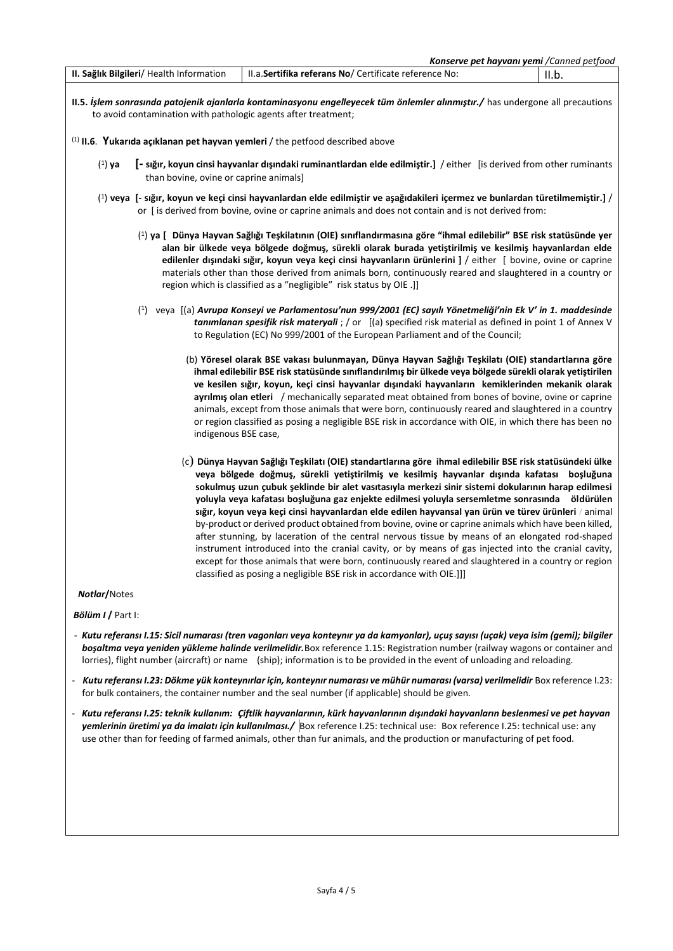|                                          | <b>Konserve pet hayvanı yemi</b> /Canned petfood                                                                                  |       |
|------------------------------------------|-----------------------------------------------------------------------------------------------------------------------------------|-------|
| II. Sağlık Bilgileri/ Health Information | II.a. Sertifika referans No/ Certificate reference No:                                                                            | II.b. |
|                                          | $\mu$ 5. İslem sonrasında natojenik ajanlarla kontaminasyonu engelleyecek tüm önlemler alınmıştır. Chas undergone all precautions |       |

**II.5.** *İşlem sonrasında patojenik ajanlarla kontaminasyonu engelleyecek tüm önlemler alınmıştır./* has undergone all precautions to avoid contamination with pathologic agents after treatment;

## (1) **II.6**. **Yukarıda açıklanan pet hayvan yemleri** / the petfood described above

- ( 1 ) **ya [- sığır, koyun cinsi hayvanlar dışındaki ruminantlardan elde edilmiştir.]** / either [is derived from other ruminants than bovine, ovine or caprine animals]
- ( 1 ) **veya [- sığır, koyun ve keçi cinsi hayvanlardan elde edilmiştir ve aşağıdakileri içermez ve bunlardan türetilmemiştir.]** / or [ is derived from bovine, ovine or caprine animals and does not contain and is not derived from:
	- ( 1 ) **ya [ Dünya Hayvan Sağlığı Teşkilatının (OIE) sınıflandırmasına göre "ihmal edilebilir" BSE risk statüsünde yer alan bir ülkede veya bölgede doğmuş, sürekli olarak burada yetiştirilmiş ve kesilmiş hayvanlardan elde edilenler dışındaki sığır, koyun veya keçi cinsi hayvanların ürünlerini ]** / either [ bovine, ovine or caprine materials other than those derived from animals born, continuously reared and slaughtered in a country or region which is classified as a "negligible" risk status by OIE .]]
	- ( 1 ) veya [(a) *Avrupa Konseyi ve Parlamentosu'nun 999/2001 (EC) sayılı Yönetmeliği'nin Ek V' in 1. maddesinde tanımlanan spesifik risk materyali* ; / or [(a) specified risk material as defined in point 1 of Annex V to Regulation (EC) No 999/2001 of the European Parliament and of the Council;
		- (b) **Yöresel olarak BSE vakası bulunmayan, Dünya Hayvan Sağlığı Teşkilatı (OIE) standartlarına göre ihmal edilebilir BSE risk statüsünde sınıflandırılmış bir ülkede veya bölgede sürekli olarak yetiştirilen ve kesilen sığır, koyun, keçi cinsi hayvanlar dışındaki hayvanların kemiklerinden mekanik olarak ayrılmış olan etleri** / mechanically separated meat obtained from bones of bovine, ovine or caprine animals, except from those animals that were born, continuously reared and slaughtered in a country or region classified as posing a negligible BSE risk in accordance with OIE, in which there has been no indigenous BSE case,
		- (c) **Dünya Hayvan Sağlığı Teşkilatı (OIE) standartlarına göre ihmal edilebilir BSE risk statüsündeki ülke veya bölgede doğmuş, sürekli yetiştirilmiş ve kesilmiş hayvanlar dışında kafatası boşluğuna sokulmuş uzun çubuk şeklinde bir alet vasıtasıyla merkezi sinir sistemi dokularının harap edilmesi yoluyla veya kafatası boşluğuna gaz enjekte edilmesi yoluyla sersemletme sonrasında öldürülen sığır, koyun veya keçi cinsi hayvanlardan elde edilen hayvansal yan ürün ve türev ürünleri** / animal by-product or derived product obtained from bovine, ovine or caprine animals which have been killed, after stunning, by laceration of the central nervous tissue by means of an elongated rod-shaped instrument introduced into the cranial cavity, or by means of gas injected into the cranial cavity, except for those animals that were born, continuously reared and slaughtered in a country or region classified as posing a negligible BSE risk in accordance with OIE.]]]

## *Notlar***/**Notes

*Bölüm I* **/** Part I:

- *Kutu referansı I.15: Sicil numarası (tren vagonları veya konteynır ya da kamyonlar), uçuş sayısı (uçak) veya isim (gemi); bilgiler boşaltma veya yeniden yükleme halinde verilmelidir.*Box reference 1.15: Registration number (railway wagons or container and lorries), flight number (aircraft) or name (ship); information is to be provided in the event of unloading and reloading.
- *Kutu referansı I.23: Dökme yük konteynırlar için, konteynır numarası ve mühür numarası (varsa) verilmelidir* Box reference I.23: for bulk containers, the container number and the seal number (if applicable) should be given.
- *Kutu referansı I.25: teknik kullanım: Çiftlik hayvanlarının, kürk hayvanlarının dışındaki hayvanların beslenmesi ve pet hayvan yemlerinin üretimi ya da imalatı için kullanılması./* Box reference I.25: technical use: Box reference I.25: technical use: any use other than for feeding of farmed animals, other than fur animals, and the production or manufacturing of pet food.